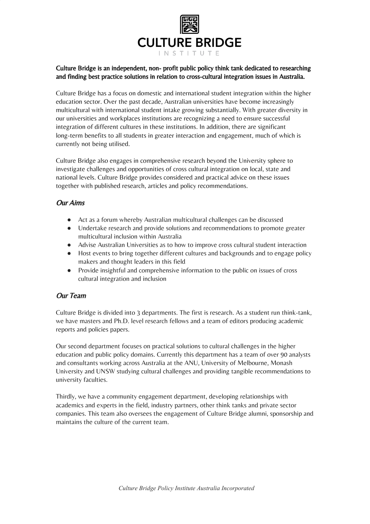

## Culture Bridge is an independent, non- profit public policy think tank dedicated to researching and finding best practice solutions in relation to cross-cultural integration issues in Australia.

Culture Bridge has a focus on domestic and international student integration within the higher education sector. Over the past decade, Australian universities have become increasingly multicultural with international student intake growing substantially. With greater diversity in our universities and workplaces institutions are recognizing a need to ensure successful integration of different cultures in these institutions. In addition, there are significant long-term benefits to all students in greater interaction and engagement, much of which is currently not being utilised.

Culture Bridge also engages in comprehensive research beyond the University sphere to investigate challenges and opportunities of cross cultural integration on local, state and national levels. Culture Bridge provides considered and practical advice on these issues together with published research, articles and policy recommendations.

# Our Aims

- Act as a forum whereby Australian multicultural challenges can be discussed
- Undertake research and provide solutions and recommendations to promote greater multicultural inclusion within Australia
- Advise Australian Universities as to how to improve cross cultural student interaction
- Host events to bring together different cultures and backgrounds and to engage policy makers and thought leaders in this field
- Provide insightful and comprehensive information to the public on issues of cross cultural integration and inclusion

# Our Team

Culture Bridge is divided into 3 departments. The first is research. As a student run think-tank, we have masters and Ph.D. level research fellows and a team of editors producing academic reports and policies papers.

Our second department focuses on practical solutions to cultural challenges in the higher education and public policy domains. Currently this department has a team of over 90 analysts and consultants working across Australia at the ANU, University of Melbourne, Monash University and UNSW studying cultural challenges and providing tangible recommendations to university faculties.

Thirdly, we have a community engagement department, developing relationships with academics and experts in the field, industry partners, other think tanks and private sector companies. This team also oversees the engagement of Culture Bridge alumni, sponsorship and maintains the culture of the current team.